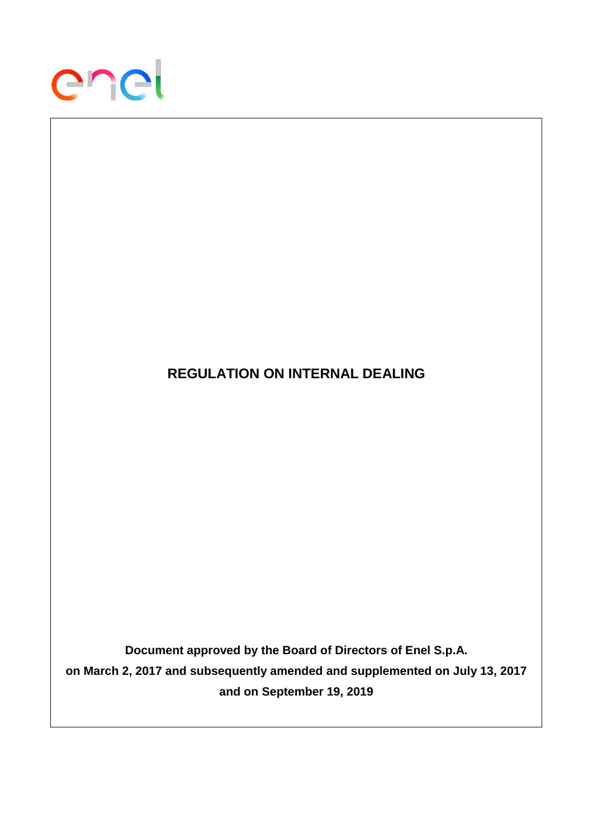

# **REGULATION ON INTERNAL DEALING Document approved by the Board of Directors of Enel S.p.A. on March 2, 2017 and subsequently amended and supplemented on July 13, 2017 and on September 19, 2019**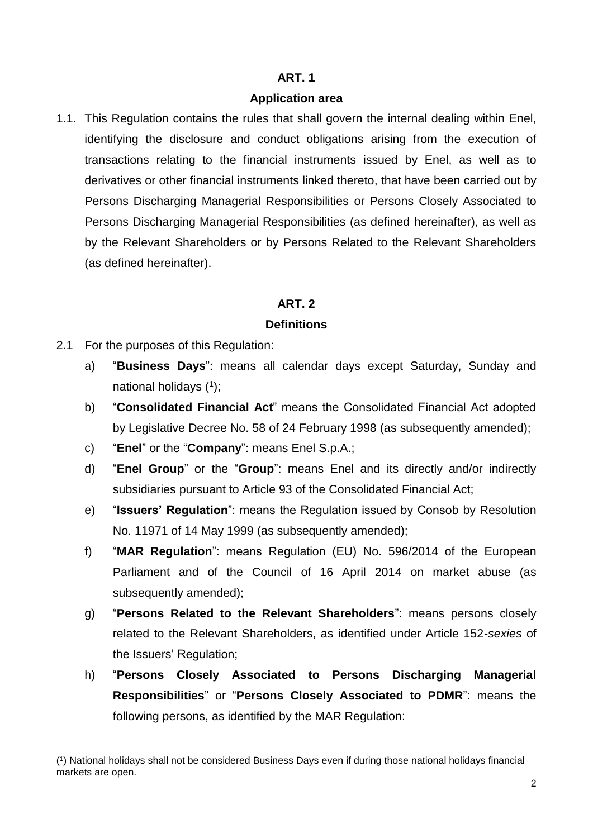# **Application area**

1.1. This Regulation contains the rules that shall govern the internal dealing within Enel, identifying the disclosure and conduct obligations arising from the execution of transactions relating to the financial instruments issued by Enel, as well as to derivatives or other financial instruments linked thereto, that have been carried out by Persons Discharging Managerial Responsibilities or Persons Closely Associated to Persons Discharging Managerial Responsibilities (as defined hereinafter), as well as by the Relevant Shareholders or by Persons Related to the Relevant Shareholders (as defined hereinafter).

# **ART. 2**

### **Definitions**

- 2.1 For the purposes of this Regulation:
	- a) "**Business Days**": means all calendar days except Saturday, Sunday and national holidays ( 1 );
	- b) "**Consolidated Financial Act**" means the Consolidated Financial Act adopted by Legislative Decree No. 58 of 24 February 1998 (as subsequently amended);
	- c) "**Enel**" or the "**Company**": means Enel S.p.A.;
	- d) "**Enel Group**" or the "**Group**": means Enel and its directly and/or indirectly subsidiaries pursuant to Article 93 of the Consolidated Financial Act;
	- e) "**Issuers' Regulation**": means the Regulation issued by Consob by Resolution No. 11971 of 14 May 1999 (as subsequently amended);
	- f) "**MAR Regulation**": means Regulation (EU) No. 596/2014 of the European Parliament and of the Council of 16 April 2014 on market abuse (as subsequently amended);
	- g) "**Persons Related to the Relevant Shareholders**": means persons closely related to the Relevant Shareholders, as identified under Article 152-*sexies* of the Issuers' Regulation;
	- h) "**Persons Closely Associated to Persons Discharging Managerial Responsibilities**" or "**Persons Closely Associated to PDMR**": means the following persons, as identified by the MAR Regulation:

<sup>1</sup> ( 1 ) National holidays shall not be considered Business Days even if during those national holidays financial markets are open.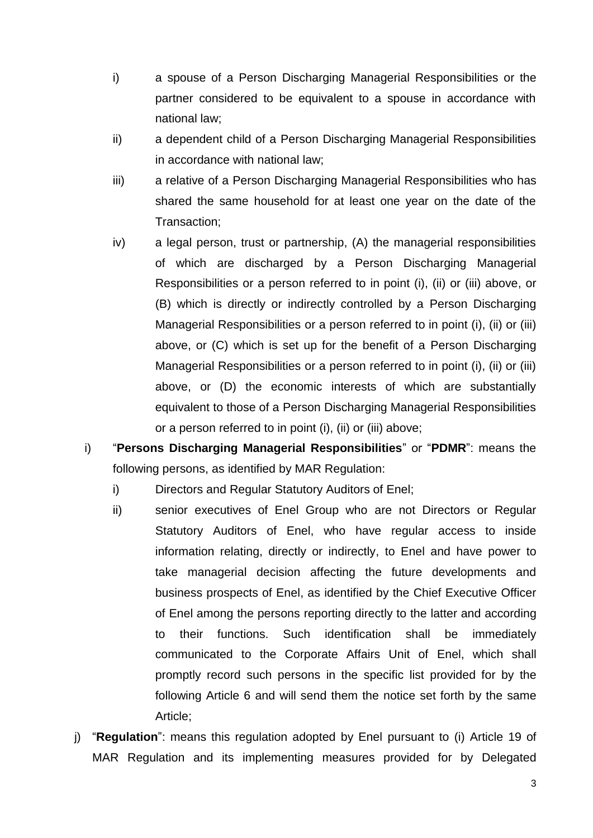- i) a spouse of a Person Discharging Managerial Responsibilities or the partner considered to be equivalent to a spouse in accordance with national law;
- ii) a dependent child of a Person Discharging Managerial Responsibilities in accordance with national law;
- iii) a relative of a Person Discharging Managerial Responsibilities who has shared the same household for at least one year on the date of the Transaction;
- iv) a legal person, trust or partnership, (A) the managerial responsibilities of which are discharged by a Person Discharging Managerial Responsibilities or a person referred to in point (i), (ii) or (iii) above, or (B) which is directly or indirectly controlled by a Person Discharging Managerial Responsibilities or a person referred to in point (i), (ii) or (iii) above, or (C) which is set up for the benefit of a Person Discharging Managerial Responsibilities or a person referred to in point (i), (ii) or (iii) above, or (D) the economic interests of which are substantially equivalent to those of a Person Discharging Managerial Responsibilities or a person referred to in point (i), (ii) or (iii) above;
- i) "**Persons Discharging Managerial Responsibilities**" or "**PDMR**": means the following persons, as identified by MAR Regulation:
	- i) Directors and Regular Statutory Auditors of Enel;
	- ii) senior executives of Enel Group who are not Directors or Regular Statutory Auditors of Enel, who have regular access to inside information relating, directly or indirectly, to Enel and have power to take managerial decision affecting the future developments and business prospects of Enel, as identified by the Chief Executive Officer of Enel among the persons reporting directly to the latter and according to their functions. Such identification shall be immediately communicated to the Corporate Affairs Unit of Enel, which shall promptly record such persons in the specific list provided for by the following Article 6 and will send them the notice set forth by the same Article;
- j) "**Regulation**": means this regulation adopted by Enel pursuant to (i) Article 19 of MAR Regulation and its implementing measures provided for by Delegated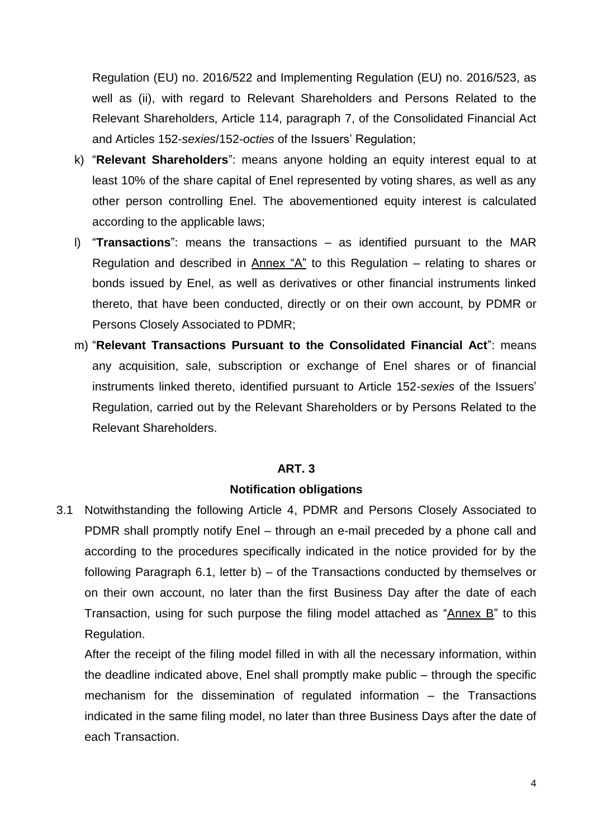Regulation (EU) no. 2016/522 and Implementing Regulation (EU) no. 2016/523, as well as (ii), with regard to Relevant Shareholders and Persons Related to the Relevant Shareholders, Article 114, paragraph 7, of the Consolidated Financial Act and Articles 152-*sexies*/152-*octies* of the Issuers' Regulation;

- k) "**Relevant Shareholders**": means anyone holding an equity interest equal to at least 10% of the share capital of Enel represented by voting shares, as well as any other person controlling Enel. The abovementioned equity interest is calculated according to the applicable laws;
- l) "**Transactions**": means the transactions as identified pursuant to the MAR Regulation and described in Annex "A" to this Regulation – relating to shares or bonds issued by Enel, as well as derivatives or other financial instruments linked thereto, that have been conducted, directly or on their own account, by PDMR or Persons Closely Associated to PDMR;
- m) "**Relevant Transactions Pursuant to the Consolidated Financial Act**": means any acquisition, sale, subscription or exchange of Enel shares or of financial instruments linked thereto, identified pursuant to Article 152-*sexies* of the Issuers' Regulation, carried out by the Relevant Shareholders or by Persons Related to the Relevant Shareholders.

#### **ART. 3**

#### **Notification obligations**

3.1 Notwithstanding the following Article 4, PDMR and Persons Closely Associated to PDMR shall promptly notify Enel – through an e-mail preceded by a phone call and according to the procedures specifically indicated in the notice provided for by the following Paragraph 6.1, letter b) – of the Transactions conducted by themselves or on their own account, no later than the first Business Day after the date of each Transaction, using for such purpose the filing model attached as "Annex B" to this Regulation.

After the receipt of the filing model filled in with all the necessary information, within the deadline indicated above, Enel shall promptly make public – through the specific mechanism for the dissemination of regulated information – the Transactions indicated in the same filing model, no later than three Business Days after the date of each Transaction.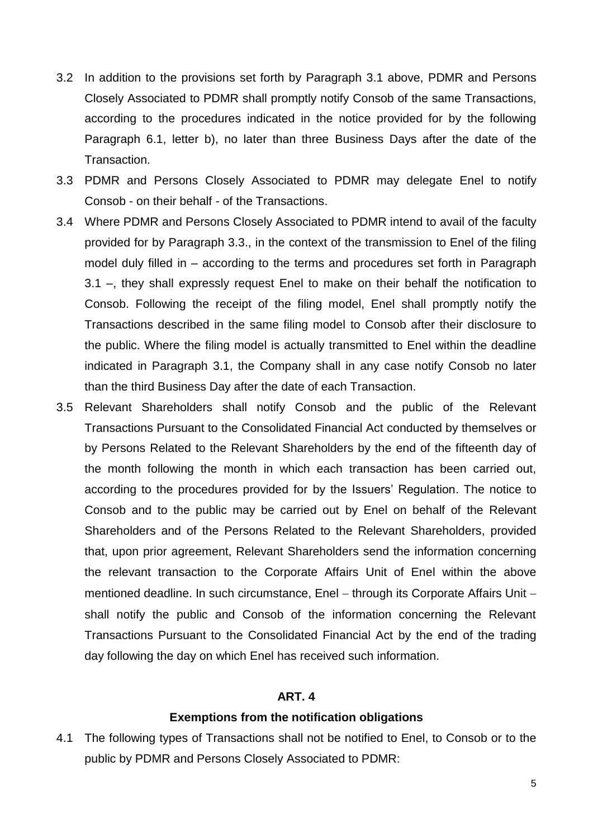- 3.2 In addition to the provisions set forth by Paragraph 3.1 above, PDMR and Persons Closely Associated to PDMR shall promptly notify Consob of the same Transactions, according to the procedures indicated in the notice provided for by the following Paragraph 6.1, letter b), no later than three Business Days after the date of the Transaction.
- 3.3 PDMR and Persons Closely Associated to PDMR may delegate Enel to notify Consob - on their behalf - of the Transactions.
- 3.4 Where PDMR and Persons Closely Associated to PDMR intend to avail of the faculty provided for by Paragraph 3.3., in the context of the transmission to Enel of the filing model duly filled in – according to the terms and procedures set forth in Paragraph 3.1 –, they shall expressly request Enel to make on their behalf the notification to Consob. Following the receipt of the filing model, Enel shall promptly notify the Transactions described in the same filing model to Consob after their disclosure to the public. Where the filing model is actually transmitted to Enel within the deadline indicated in Paragraph 3.1, the Company shall in any case notify Consob no later than the third Business Day after the date of each Transaction.
- 3.5 Relevant Shareholders shall notify Consob and the public of the Relevant Transactions Pursuant to the Consolidated Financial Act conducted by themselves or by Persons Related to the Relevant Shareholders by the end of the fifteenth day of the month following the month in which each transaction has been carried out, according to the procedures provided for by the Issuers' Regulation. The notice to Consob and to the public may be carried out by Enel on behalf of the Relevant Shareholders and of the Persons Related to the Relevant Shareholders, provided that, upon prior agreement, Relevant Shareholders send the information concerning the relevant transaction to the Corporate Affairs Unit of Enel within the above mentioned deadline. In such circumstance, Enel - through its Corporate Affairs Unit shall notify the public and Consob of the information concerning the Relevant Transactions Pursuant to the Consolidated Financial Act by the end of the trading day following the day on which Enel has received such information.

#### **Exemptions from the notification obligations**

4.1 The following types of Transactions shall not be notified to Enel, to Consob or to the public by PDMR and Persons Closely Associated to PDMR: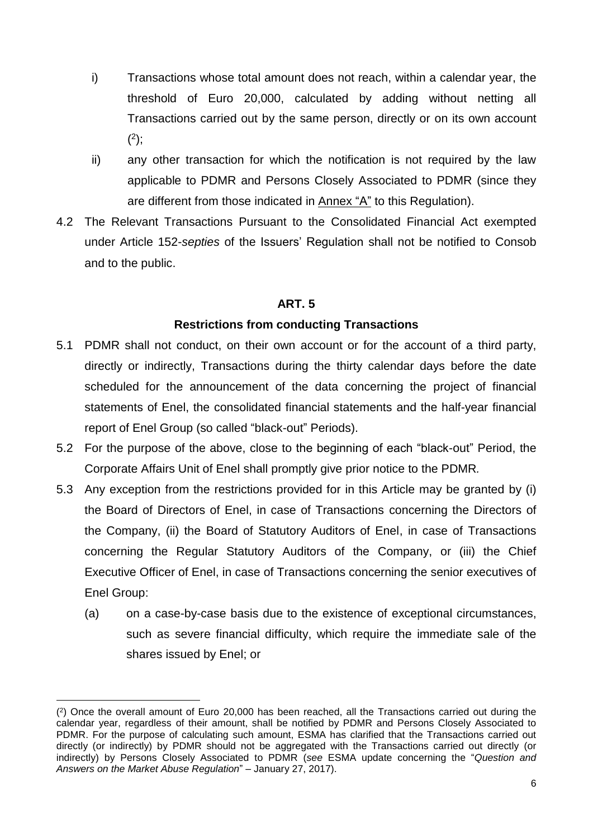- i) Transactions whose total amount does not reach, within a calendar year, the threshold of Euro 20,000, calculated by adding without netting all Transactions carried out by the same person, directly or on its own account  $(2);$
- ii) any other transaction for which the notification is not required by the law applicable to PDMR and Persons Closely Associated to PDMR (since they are different from those indicated in Annex "A" to this Regulation).
- 4.2 The Relevant Transactions Pursuant to the Consolidated Financial Act exempted under Article 152-*septies* of the Issuers' Regulation shall not be notified to Consob and to the public.

#### **Restrictions from conducting Transactions**

- 5.1 PDMR shall not conduct, on their own account or for the account of a third party, directly or indirectly, Transactions during the thirty calendar days before the date scheduled for the announcement of the data concerning the project of financial statements of Enel, the consolidated financial statements and the half-year financial report of Enel Group (so called "black-out" Periods).
- 5.2 For the purpose of the above, close to the beginning of each "black-out" Period, the Corporate Affairs Unit of Enel shall promptly give prior notice to the PDMR*.*
- 5.3 Any exception from the restrictions provided for in this Article may be granted by (i) the Board of Directors of Enel, in case of Transactions concerning the Directors of the Company, (ii) the Board of Statutory Auditors of Enel, in case of Transactions concerning the Regular Statutory Auditors of the Company, or (iii) the Chief Executive Officer of Enel, in case of Transactions concerning the senior executives of Enel Group:
	- (a) on a case-by-case basis due to the existence of exceptional circumstances, such as severe financial difficulty, which require the immediate sale of the shares issued by Enel; or

1

<sup>(</sup> 2 ) Once the overall amount of Euro 20,000 has been reached, all the Transactions carried out during the calendar year, regardless of their amount, shall be notified by PDMR and Persons Closely Associated to PDMR. For the purpose of calculating such amount, ESMA has clarified that the Transactions carried out directly (or indirectly) by PDMR should not be aggregated with the Transactions carried out directly (or indirectly) by Persons Closely Associated to PDMR (*see* ESMA update concerning the "*Question and Answers on the Market Abuse Regulation*" – January 27, 2017).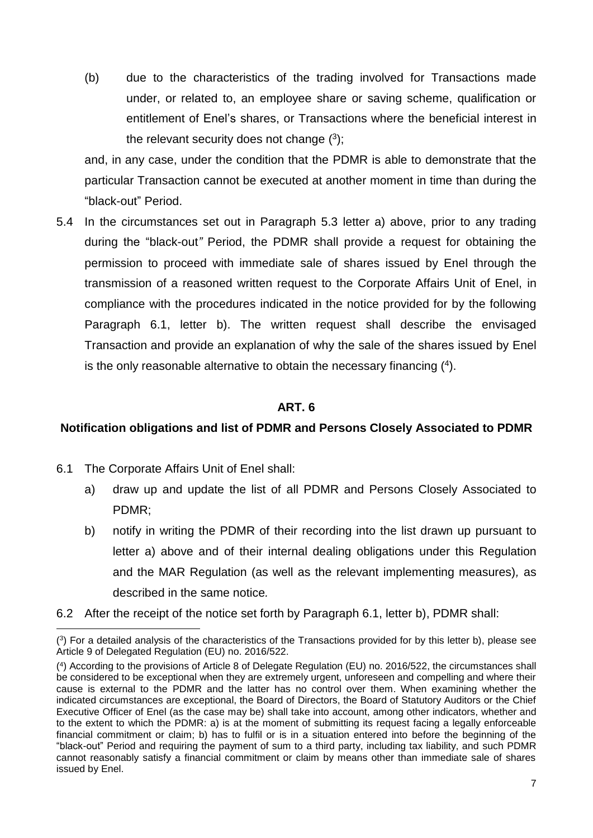(b) due to the characteristics of the trading involved for Transactions made under, or related to, an employee share or saving scheme, qualification or entitlement of Enel's shares, or Transactions where the beneficial interest in the relevant security does not change  $(3)$ ;

and, in any case, under the condition that the PDMR is able to demonstrate that the particular Transaction cannot be executed at another moment in time than during the "black-out" Period.

5.4 In the circumstances set out in Paragraph 5.3 letter a) above, prior to any trading during the "black-out*"* Period, the PDMR shall provide a request for obtaining the permission to proceed with immediate sale of shares issued by Enel through the transmission of a reasoned written request to the Corporate Affairs Unit of Enel, in compliance with the procedures indicated in the notice provided for by the following Paragraph 6.1, letter b). The written request shall describe the envisaged Transaction and provide an explanation of why the sale of the shares issued by Enel is the only reasonable alternative to obtain the necessary financing  $(4)$ .

### **ART. 6**

#### **Notification obligations and list of PDMR and Persons Closely Associated to PDMR**

6.1 The Corporate Affairs Unit of Enel shall:

1

- a) draw up and update the list of all PDMR and Persons Closely Associated to PDMR;
- b) notify in writing the PDMR of their recording into the list drawn up pursuant to letter a) above and of their internal dealing obligations under this Regulation and the MAR Regulation (as well as the relevant implementing measures)*,* as described in the same notice*.*
- 6.2 After the receipt of the notice set forth by Paragraph 6.1, letter b), PDMR shall:

<sup>(</sup> 3 ) For a detailed analysis of the characteristics of the Transactions provided for by this letter b), please see Article 9 of Delegated Regulation (EU) no. 2016/522.

<sup>(</sup> 4 ) According to the provisions of Article 8 of Delegate Regulation (EU) no. 2016/522, the circumstances shall be considered to be exceptional when they are extremely urgent, unforeseen and compelling and where their cause is external to the PDMR and the latter has no control over them. When examining whether the indicated circumstances are exceptional, the Board of Directors, the Board of Statutory Auditors or the Chief Executive Officer of Enel (as the case may be) shall take into account, among other indicators, whether and to the extent to which the PDMR: a) is at the moment of submitting its request facing a legally enforceable financial commitment or claim; b) has to fulfil or is in a situation entered into before the beginning of the "black-out" Period and requiring the payment of sum to a third party, including tax liability, and such PDMR cannot reasonably satisfy a financial commitment or claim by means other than immediate sale of shares issued by Enel.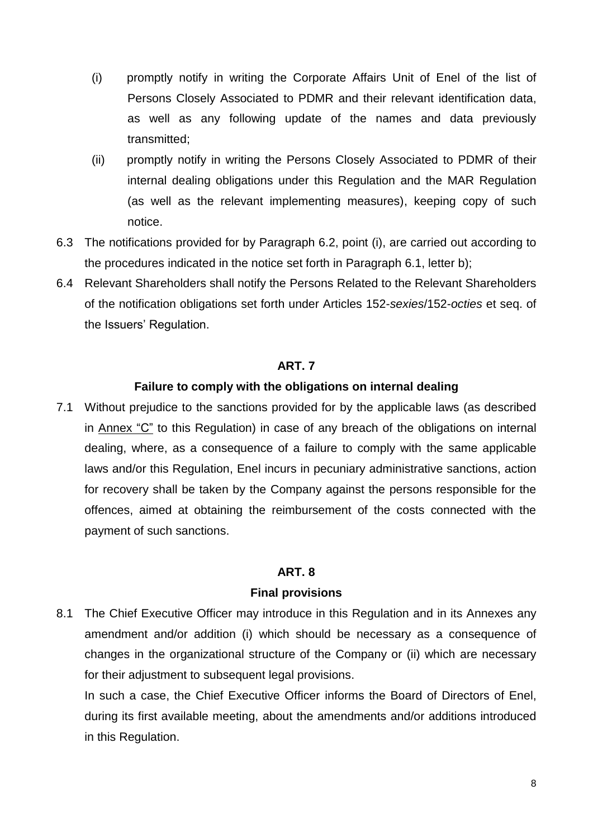- (i) promptly notify in writing the Corporate Affairs Unit of Enel of the list of Persons Closely Associated to PDMR and their relevant identification data, as well as any following update of the names and data previously transmitted;
- (ii) promptly notify in writing the Persons Closely Associated to PDMR of their internal dealing obligations under this Regulation and the MAR Regulation (as well as the relevant implementing measures), keeping copy of such notice.
- 6.3 The notifications provided for by Paragraph 6.2, point (i), are carried out according to the procedures indicated in the notice set forth in Paragraph 6.1, letter b);
- 6.4 Relevant Shareholders shall notify the Persons Related to the Relevant Shareholders of the notification obligations set forth under Articles 152-*sexies*/152-*octies* et seq. of the Issuers' Regulation.

#### **Failure to comply with the obligations on internal dealing**

7.1 Without prejudice to the sanctions provided for by the applicable laws (as described in Annex "C" to this Regulation) in case of any breach of the obligations on internal dealing, where, as a consequence of a failure to comply with the same applicable laws and/or this Regulation, Enel incurs in pecuniary administrative sanctions, action for recovery shall be taken by the Company against the persons responsible for the offences, aimed at obtaining the reimbursement of the costs connected with the payment of such sanctions.

#### **ART. 8**

#### **Final provisions**

8.1 The Chief Executive Officer may introduce in this Regulation and in its Annexes any amendment and/or addition (i) which should be necessary as a consequence of changes in the organizational structure of the Company or (ii) which are necessary for their adjustment to subsequent legal provisions.

In such a case, the Chief Executive Officer informs the Board of Directors of Enel, during its first available meeting, about the amendments and/or additions introduced in this Regulation.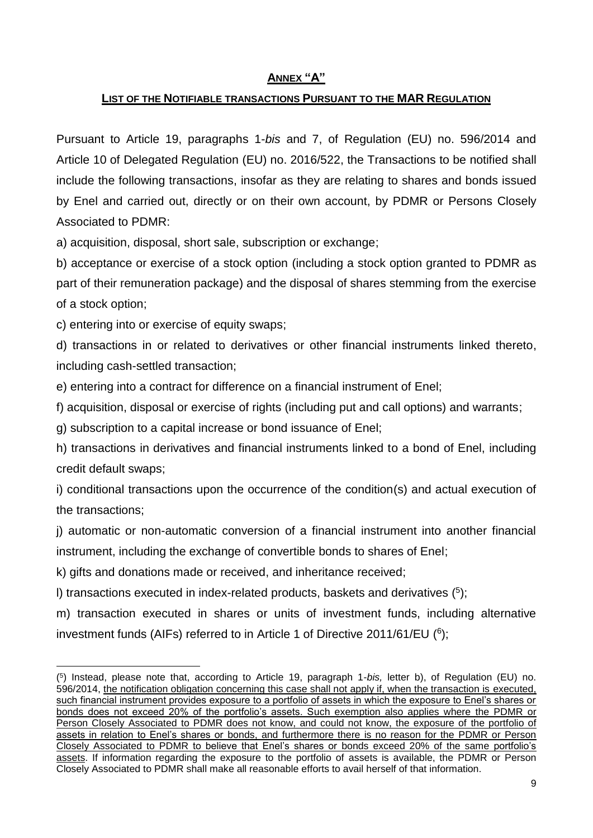#### **ANNEX "A"**

#### **LIST OF THE NOTIFIABLE TRANSACTIONS PURSUANT TO THE MAR REGULATION**

Pursuant to Article 19, paragraphs 1-*bis* and 7, of Regulation (EU) no. 596/2014 and Article 10 of Delegated Regulation (EU) no. 2016/522, the Transactions to be notified shall include the following transactions, insofar as they are relating to shares and bonds issued by Enel and carried out, directly or on their own account, by PDMR or Persons Closely Associated to PDMR:

a) acquisition, disposal, short sale, subscription or exchange;

b) acceptance or exercise of a stock option (including a stock option granted to PDMR as part of their remuneration package) and the disposal of shares stemming from the exercise of a stock option;

c) entering into or exercise of equity swaps;

1

d) transactions in or related to derivatives or other financial instruments linked thereto, including cash-settled transaction;

e) entering into a contract for difference on a financial instrument of Enel;

f) acquisition, disposal or exercise of rights (including put and call options) and warrants;

g) subscription to a capital increase or bond issuance of Enel;

h) transactions in derivatives and financial instruments linked to a bond of Enel, including credit default swaps;

i) conditional transactions upon the occurrence of the condition(s) and actual execution of the transactions;

j) automatic or non-automatic conversion of a financial instrument into another financial instrument, including the exchange of convertible bonds to shares of Enel;

k) gifts and donations made or received, and inheritance received;

I) transactions executed in index-related products, baskets and derivatives (<sup>5</sup>);

m) transaction executed in shares or units of investment funds, including alternative investment funds (AIFs) referred to in Article 1 of Directive 2011/61/EU ( 6 );

<sup>(</sup> 5 ) Instead, please note that, according to Article 19, paragraph 1-*bis,* letter b), of Regulation (EU) no. 596/2014, the notification obligation concerning this case shall not apply if, when the transaction is executed, such financial instrument provides exposure to a portfolio of assets in which the exposure to Enel's shares or bonds does not exceed 20% of the portfolio's assets. Such exemption also applies where the PDMR or Person Closely Associated to PDMR does not know, and could not know, the exposure of the portfolio of assets in relation to Enel's shares or bonds, and furthermore there is no reason for the PDMR or Person Closely Associated to PDMR to believe that Enel's shares or bonds exceed 20% of the same portfolio's assets. If information regarding the exposure to the portfolio of assets is available, the PDMR or Person Closely Associated to PDMR shall make all reasonable efforts to avail herself of that information.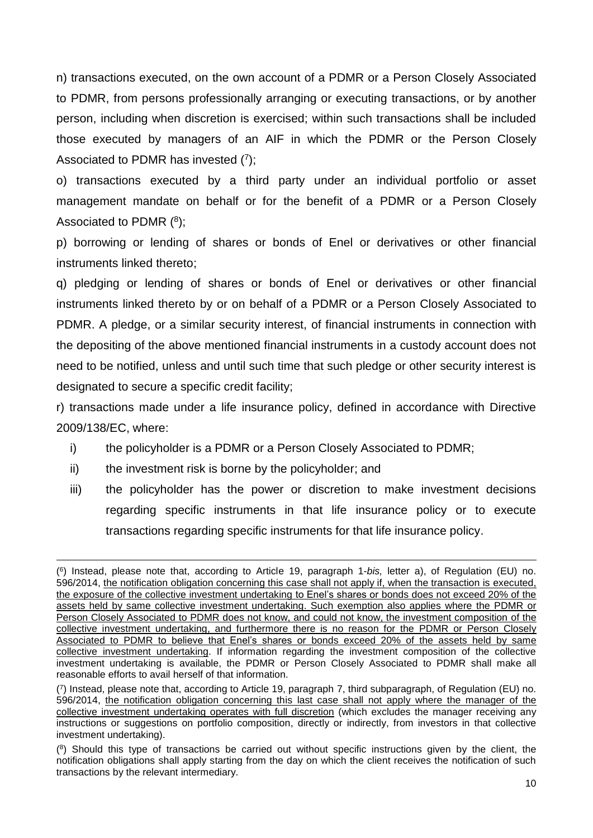n) transactions executed, on the own account of a PDMR or a Person Closely Associated to PDMR, from persons professionally arranging or executing transactions, or by another person, including when discretion is exercised; within such transactions shall be included those executed by managers of an AIF in which the PDMR or the Person Closely Associated to PDMR has invested  $(7)$ ;

o) transactions executed by a third party under an individual portfolio or asset management mandate on behalf or for the benefit of a PDMR or a Person Closely Associated to PDMR  $(^{8})$ ;

p) borrowing or lending of shares or bonds of Enel or derivatives or other financial instruments linked thereto;

q) pledging or lending of shares or bonds of Enel or derivatives or other financial instruments linked thereto by or on behalf of a PDMR or a Person Closely Associated to PDMR. A pledge, or a similar security interest, of financial instruments in connection with the depositing of the above mentioned financial instruments in a custody account does not need to be notified, unless and until such time that such pledge or other security interest is designated to secure a specific credit facility;

r) transactions made under a life insurance policy, defined in accordance with Directive 2009/138/EC, where:

- i) the policyholder is a PDMR or a Person Closely Associated to PDMR;
- ii) the investment risk is borne by the policyholder; and

1

iii) the policyholder has the power or discretion to make investment decisions regarding specific instruments in that life insurance policy or to execute transactions regarding specific instruments for that life insurance policy.

<sup>(</sup> 6 ) Instead, please note that, according to Article 19, paragraph 1-*bis,* letter a), of Regulation (EU) no. 596/2014, the notification obligation concerning this case shall not apply if, when the transaction is executed, the exposure of the collective investment undertaking to Enel's shares or bonds does not exceed 20% of the assets held by same collective investment undertaking. Such exemption also applies where the PDMR or Person Closely Associated to PDMR does not know, and could not know, the investment composition of the collective investment undertaking, and furthermore there is no reason for the PDMR or Person Closely Associated to PDMR to believe that Enel's shares or bonds exceed 20% of the assets held by same collective investment undertaking. If information regarding the investment composition of the collective investment undertaking is available, the PDMR or Person Closely Associated to PDMR shall make all reasonable efforts to avail herself of that information.

<sup>(</sup> 7 ) Instead, please note that, according to Article 19, paragraph 7, third subparagraph, of Regulation (EU) no. 596/2014, the notification obligation concerning this last case shall not apply where the manager of the collective investment undertaking operates with full discretion (which excludes the manager receiving any instructions or suggestions on portfolio composition, directly or indirectly, from investors in that collective investment undertaking).

<sup>(</sup> 8 ) Should this type of transactions be carried out without specific instructions given by the client, the notification obligations shall apply starting from the day on which the client receives the notification of such transactions by the relevant intermediary.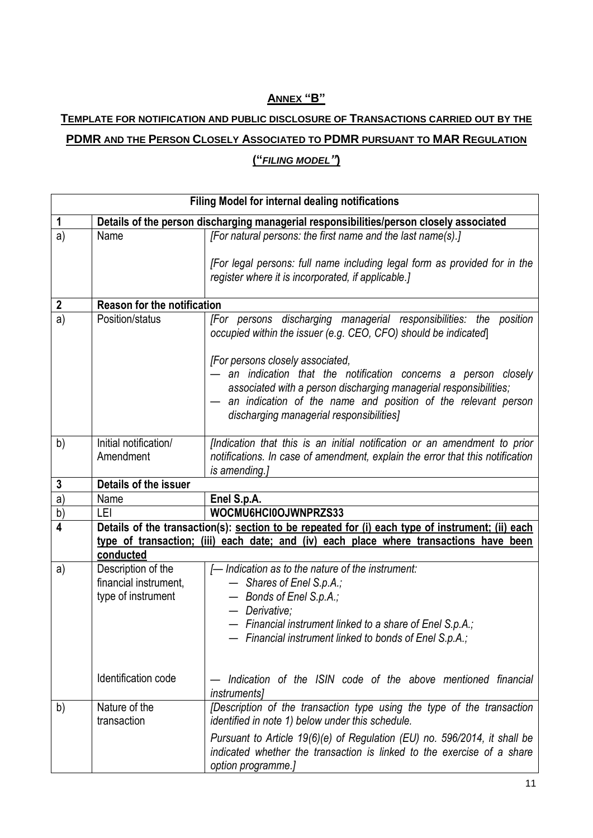# **ANNEX "B"**

# **TEMPLATE FOR NOTIFICATION AND PUBLIC DISCLOSURE OF TRANSACTIONS CARRIED OUT BY THE PDMR AND THE PERSON CLOSELY ASSOCIATED TO PDMR PURSUANT TO MAR REGULATION**

#### **("***FILING MODEL"***)**

| Filing Model for internal dealing notifications                                        |                                                                                                  |                                                                                                                                                                                                                                                                                     |  |  |  |
|----------------------------------------------------------------------------------------|--------------------------------------------------------------------------------------------------|-------------------------------------------------------------------------------------------------------------------------------------------------------------------------------------------------------------------------------------------------------------------------------------|--|--|--|
| $\mathbf 1$                                                                            | Details of the person discharging managerial responsibilities/person closely associated          |                                                                                                                                                                                                                                                                                     |  |  |  |
| a)                                                                                     | Name                                                                                             | [For natural persons: the first name and the last name(s).]                                                                                                                                                                                                                         |  |  |  |
|                                                                                        |                                                                                                  | [For legal persons: full name including legal form as provided for in the<br>register where it is incorporated, if applicable.]                                                                                                                                                     |  |  |  |
| $\boldsymbol{2}$                                                                       | <b>Reason for the notification</b>                                                               |                                                                                                                                                                                                                                                                                     |  |  |  |
| a)                                                                                     | Position/status                                                                                  | [For persons discharging managerial responsibilities: the<br>position<br>occupied within the issuer (e.g. CEO, CFO) should be indicated                                                                                                                                             |  |  |  |
|                                                                                        |                                                                                                  | [For persons closely associated,<br>an indication that the notification concerns a person closely<br>associated with a person discharging managerial responsibilities;<br>an indication of the name and position of the relevant person<br>discharging managerial responsibilities] |  |  |  |
| b)                                                                                     | Initial notification/<br>Amendment                                                               | [Indication that this is an initial notification or an amendment to prior<br>notifications. In case of amendment, explain the error that this notification<br>is amending.]                                                                                                         |  |  |  |
| 3                                                                                      | Details of the issuer                                                                            |                                                                                                                                                                                                                                                                                     |  |  |  |
| a)                                                                                     | Name                                                                                             | Enel S.p.A.                                                                                                                                                                                                                                                                         |  |  |  |
| b)                                                                                     | LEI                                                                                              | WOCMU6HCI0OJWNPRZS33                                                                                                                                                                                                                                                                |  |  |  |
| 4                                                                                      | Details of the transaction(s): section to be repeated for (i) each type of instrument; (ii) each |                                                                                                                                                                                                                                                                                     |  |  |  |
| type of transaction; (iii) each date; and (iv) each place where transactions have been |                                                                                                  |                                                                                                                                                                                                                                                                                     |  |  |  |
|                                                                                        | conducted                                                                                        |                                                                                                                                                                                                                                                                                     |  |  |  |
| a)                                                                                     | Description of the<br>financial instrument,<br>type of instrument                                | [- Indication as to the nature of the instrument:<br>- Shares of Enel S.p.A.;<br>- Bonds of Enel S.p.A.;<br>- Derivative;<br>- Financial instrument linked to a share of Enel S.p.A.;<br>Financial instrument linked to bonds of Enel S.p.A.;                                       |  |  |  |
|                                                                                        | Identification code                                                                              | Indication of the ISIN code of the above mentioned financial<br><i>instrumentsl</i>                                                                                                                                                                                                 |  |  |  |
| b)                                                                                     | Nature of the<br>transaction                                                                     | [Description of the transaction type using the type of the transaction<br>identified in note 1) below under this schedule.                                                                                                                                                          |  |  |  |
|                                                                                        |                                                                                                  | Pursuant to Article 19(6)(e) of Regulation (EU) no. 596/2014, it shall be<br>indicated whether the transaction is linked to the exercise of a share<br>option programme.]                                                                                                           |  |  |  |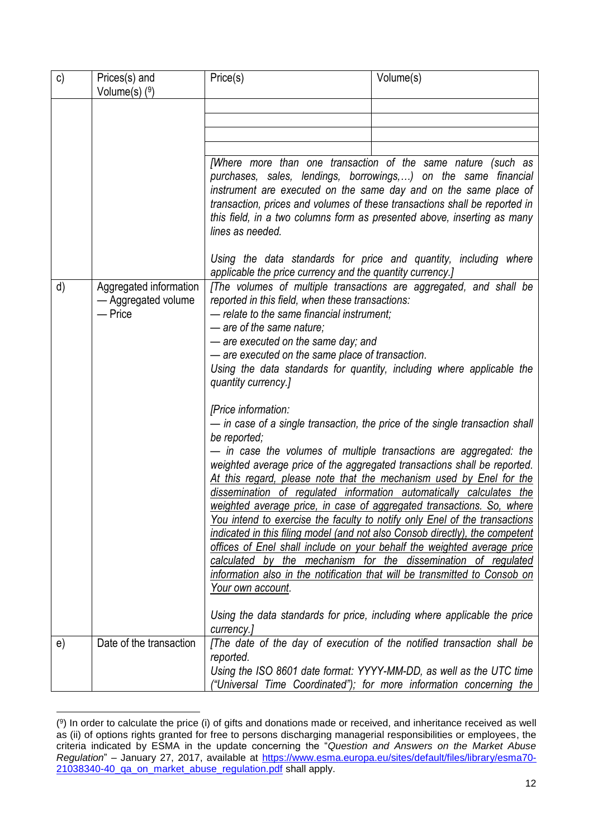| $\mathsf{c})$ | Prices(s) and<br>Volume $(s)$ $(9)$                                                                                                                                                                                                                                                                                                                                                                                                                      | Price(s)                                                                      | Volume(s)                                                                                                                                                                                                                                                                                                                                                                                                                                                                                                                                                                                                                                                                                                                                                                                                                                                                                                                  |
|---------------|----------------------------------------------------------------------------------------------------------------------------------------------------------------------------------------------------------------------------------------------------------------------------------------------------------------------------------------------------------------------------------------------------------------------------------------------------------|-------------------------------------------------------------------------------|----------------------------------------------------------------------------------------------------------------------------------------------------------------------------------------------------------------------------------------------------------------------------------------------------------------------------------------------------------------------------------------------------------------------------------------------------------------------------------------------------------------------------------------------------------------------------------------------------------------------------------------------------------------------------------------------------------------------------------------------------------------------------------------------------------------------------------------------------------------------------------------------------------------------------|
|               |                                                                                                                                                                                                                                                                                                                                                                                                                                                          |                                                                               |                                                                                                                                                                                                                                                                                                                                                                                                                                                                                                                                                                                                                                                                                                                                                                                                                                                                                                                            |
|               |                                                                                                                                                                                                                                                                                                                                                                                                                                                          |                                                                               |                                                                                                                                                                                                                                                                                                                                                                                                                                                                                                                                                                                                                                                                                                                                                                                                                                                                                                                            |
|               |                                                                                                                                                                                                                                                                                                                                                                                                                                                          |                                                                               |                                                                                                                                                                                                                                                                                                                                                                                                                                                                                                                                                                                                                                                                                                                                                                                                                                                                                                                            |
|               |                                                                                                                                                                                                                                                                                                                                                                                                                                                          |                                                                               |                                                                                                                                                                                                                                                                                                                                                                                                                                                                                                                                                                                                                                                                                                                                                                                                                                                                                                                            |
|               |                                                                                                                                                                                                                                                                                                                                                                                                                                                          | lines as needed.                                                              | [Where more than one transaction of the same nature (such as<br>purchases, sales, lendings, borrowings,) on the same financial<br>instrument are executed on the same day and on the same place of<br>transaction, prices and volumes of these transactions shall be reported in<br>this field, in a two columns form as presented above, inserting as many                                                                                                                                                                                                                                                                                                                                                                                                                                                                                                                                                                |
|               |                                                                                                                                                                                                                                                                                                                                                                                                                                                          | applicable the price currency and the quantity currency.]                     | Using the data standards for price and quantity, including where                                                                                                                                                                                                                                                                                                                                                                                                                                                                                                                                                                                                                                                                                                                                                                                                                                                           |
| d)            | [The volumes of multiple transactions are aggregated, and shall be<br>Aggregated information<br>reported in this field, when these transactions:<br>- Aggregated volume<br>— Price<br>- relate to the same financial instrument;<br>- are of the same nature;<br>- are executed on the same day; and<br>- are executed on the same place of transaction.<br>Using the data standards for quantity, including where applicable the<br>quantity currency.] |                                                                               |                                                                                                                                                                                                                                                                                                                                                                                                                                                                                                                                                                                                                                                                                                                                                                                                                                                                                                                            |
|               |                                                                                                                                                                                                                                                                                                                                                                                                                                                          | [Price information:<br>be reported;<br><u>Your own account.</u><br>currency.] | - in case of a single transaction, the price of the single transaction shall<br>- in case the volumes of multiple transactions are aggregated: the<br>weighted average price of the aggregated transactions shall be reported.<br>At this regard, please note that the mechanism used by Enel for the<br>dissemination of regulated information automatically calculates the<br>weighted average price, in case of aggregated transactions. So, where<br>You intend to exercise the faculty to notify only Enel of the transactions<br>indicated in this filing model (and not also Consob directly), the competent<br>offices of Enel shall include on your behalf the weighted average price<br>calculated by the mechanism for the dissemination of regulated<br>information also in the notification that will be transmitted to Consob on<br>Using the data standards for price, including where applicable the price |
| e)            | Date of the transaction                                                                                                                                                                                                                                                                                                                                                                                                                                  | reported.                                                                     | [The date of the day of execution of the notified transaction shall be<br>Using the ISO 8601 date format: YYYY-MM-DD, as well as the UTC time<br>"Universal Time Coordinated"); for more information concerning the                                                                                                                                                                                                                                                                                                                                                                                                                                                                                                                                                                                                                                                                                                        |

<sup>1</sup> ( 9 ) In order to calculate the price (i) of gifts and donations made or received, and inheritance received as well as (ii) of options rights granted for free to persons discharging managerial responsibilities or employees, the criteria indicated by ESMA in the update concerning the "*Question and Answers on the Market Abuse Regulation*" – January 27, 2017, available at [https://www.esma.europa.eu/sites/default/files/library/esma70-](https://www.esma.europa.eu/sites/default/files/library/esma70-21038340-40_qa_on_market_abuse_regulation.pdf) [21038340-40\\_qa\\_on\\_market\\_abuse\\_regulation.pdf](https://www.esma.europa.eu/sites/default/files/library/esma70-21038340-40_qa_on_market_abuse_regulation.pdf) shall apply.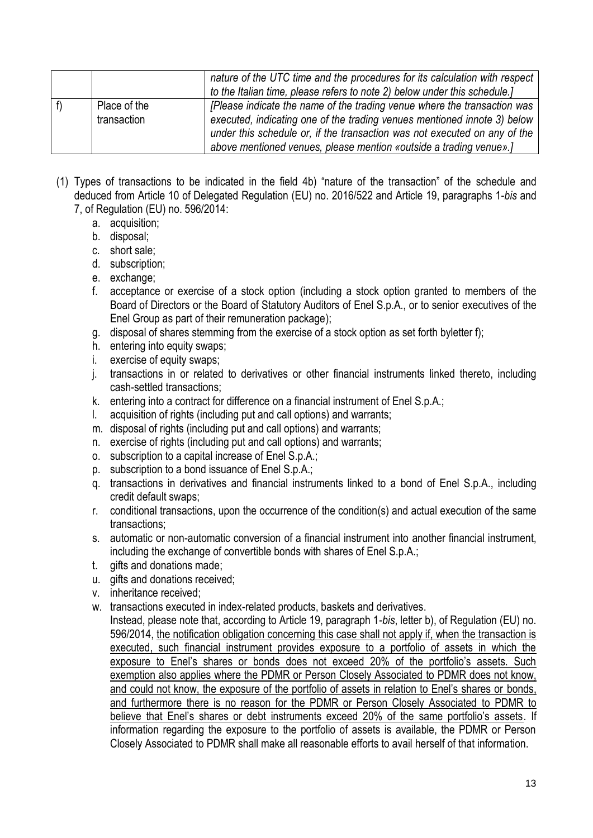|                             | nature of the UTC time and the procedures for its calculation with respect<br>to the Italian time, please refers to note 2) below under this schedule.]                                                                                                                                                 |
|-----------------------------|---------------------------------------------------------------------------------------------------------------------------------------------------------------------------------------------------------------------------------------------------------------------------------------------------------|
| Place of the<br>transaction | [Please indicate the name of the trading venue where the transaction was<br>executed, indicating one of the trading venues mentioned innote 3) below<br>under this schedule or, if the transaction was not executed on any of the<br>above mentioned venues, please mention «outside a trading venue».] |

- (1) Types of transactions to be indicated in the field 4b) "nature of the transaction" of the schedule and deduced from Article 10 of Delegated Regulation (EU) no. 2016/522 and Article 19, paragraphs 1-*bis* and 7, of Regulation (EU) no. 596/2014:
	- a. acquisition;
	- b. disposal;
	- c. short sale;
	- d. subscription;
	- e. exchange;
	- f. acceptance or exercise of a stock option (including a stock option granted to members of the Board of Directors or the Board of Statutory Auditors of Enel S.p.A., or to senior executives of the Enel Group as part of their remuneration package);
	- g. disposal of shares stemming from the exercise of a stock option as set forth byletter f);
	- h. entering into equity swaps:
	- i. exercise of equity swaps;
	- j. transactions in or related to derivatives or other financial instruments linked thereto, including cash-settled transactions;
	- k. entering into a contract for difference on a financial instrument of Enel S.p.A.;
	- l. acquisition of rights (including put and call options) and warrants;
	- m. disposal of rights (including put and call options) and warrants;
	- n. exercise of rights (including put and call options) and warrants;
	- o. subscription to a capital increase of Enel S.p.A.;
	- p. subscription to a bond issuance of Enel S.p.A.;
	- q. transactions in derivatives and financial instruments linked to a bond of Enel S.p.A., including credit default swaps;
	- r. conditional transactions, upon the occurrence of the condition(s) and actual execution of the same transactions;
	- s. automatic or non-automatic conversion of a financial instrument into another financial instrument, including the exchange of convertible bonds with shares of Enel S.p.A.;
	- t. gifts and donations made;
	- u. gifts and donations received;
	- v. inheritance received;
	- w. transactions executed in index-related products, baskets and derivatives.
	- Instead, please note that, according to Article 19, paragraph 1-*bis*, letter b), of Regulation (EU) no. 596/2014, the notification obligation concerning this case shall not apply if, when the transaction is executed, such financial instrument provides exposure to a portfolio of assets in which the exposure to Enel's shares or bonds does not exceed 20% of the portfolio's assets. Such exemption also applies where the PDMR or Person Closely Associated to PDMR does not know. and could not know, the exposure of the portfolio of assets in relation to Enel's shares or bonds, and furthermore there is no reason for the PDMR or Person Closely Associated to PDMR to believe that Enel's shares or debt instruments exceed 20% of the same portfolio's assets. If information regarding the exposure to the portfolio of assets is available, the PDMR or Person Closely Associated to PDMR shall make all reasonable efforts to avail herself of that information.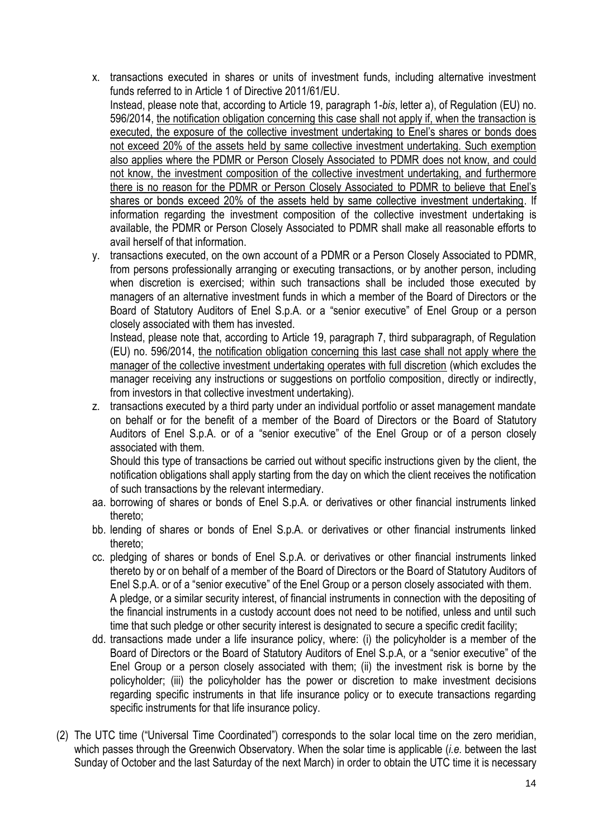- x. transactions executed in shares or units of investment funds, including alternative investment funds referred to in Article 1 of Directive 2011/61/EU. Instead, please note that, according to Article 19, paragraph 1-*bis*, letter a), of Regulation (EU) no. 596/2014, the notification obligation concerning this case shall not apply if, when the transaction is executed, the exposure of the collective investment undertaking to Enel's shares or bonds does not exceed 20% of the assets held by same collective investment undertaking. Such exemption also applies where the PDMR or Person Closely Associated to PDMR does not know, and could not know, the investment composition of the collective investment undertaking, and furthermore there is no reason for the PDMR or Person Closely Associated to PDMR to believe that Enel's shares or bonds exceed 20% of the assets held by same collective investment undertaking. If information regarding the investment composition of the collective investment undertaking is available, the PDMR or Person Closely Associated to PDMR shall make all reasonable efforts to avail herself of that information.
- y. transactions executed, on the own account of a PDMR or a Person Closely Associated to PDMR, from persons professionally arranging or executing transactions, or by another person, including when discretion is exercised; within such transactions shall be included those executed by managers of an alternative investment funds in which a member of the Board of Directors or the Board of Statutory Auditors of Enel S.p.A. or a "senior executive" of Enel Group or a person closely associated with them has invested.

Instead, please note that, according to Article 19, paragraph 7, third subparagraph, of Regulation (EU) no. 596/2014, the notification obligation concerning this last case shall not apply where the manager of the collective investment undertaking operates with full discretion (which excludes the manager receiving any instructions or suggestions on portfolio composition, directly or indirectly, from investors in that collective investment undertaking).

z. transactions executed by a third party under an individual portfolio or asset management mandate on behalf or for the benefit of a member of the Board of Directors or the Board of Statutory Auditors of Enel S.p.A. or of a "senior executive" of the Enel Group or of a person closely associated with them.

Should this type of transactions be carried out without specific instructions given by the client, the notification obligations shall apply starting from the day on which the client receives the notification of such transactions by the relevant intermediary.

- aa. borrowing of shares or bonds of Enel S.p.A. or derivatives or other financial instruments linked thereto;
- bb. lending of shares or bonds of Enel S.p.A. or derivatives or other financial instruments linked thereto;
- cc. pledging of shares or bonds of Enel S.p.A. or derivatives or other financial instruments linked thereto by or on behalf of a member of the Board of Directors or the Board of Statutory Auditors of Enel S.p.A. or of a "senior executive" of the Enel Group or a person closely associated with them. A pledge, or a similar security interest, of financial instruments in connection with the depositing of the financial instruments in a custody account does not need to be notified, unless and until such time that such pledge or other security interest is designated to secure a specific credit facility;
- dd. transactions made under a life insurance policy, where: (i) the policyholder is a member of the Board of Directors or the Board of Statutory Auditors of Enel S.p.A, or a "senior executive" of the Enel Group or a person closely associated with them; (ii) the investment risk is borne by the policyholder; (iii) the policyholder has the power or discretion to make investment decisions regarding specific instruments in that life insurance policy or to execute transactions regarding specific instruments for that life insurance policy.
- (2) The UTC time ("Universal Time Coordinated") corresponds to the solar local time on the zero meridian, which passes through the Greenwich Observatory. When the solar time is applicable (*i.e.* between the last Sunday of October and the last Saturday of the next March) in order to obtain the UTC time it is necessary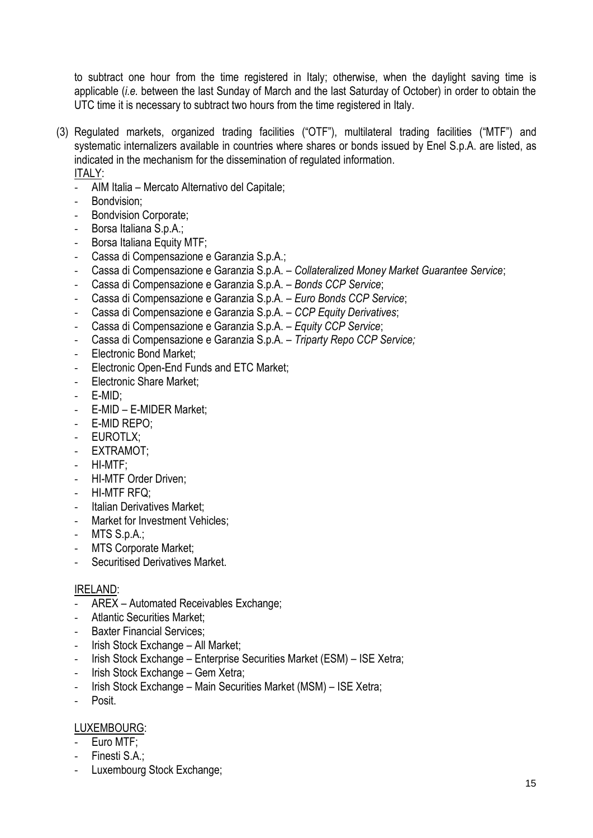to subtract one hour from the time registered in Italy; otherwise, when the daylight saving time is applicable (*i.e.* between the last Sunday of March and the last Saturday of October) in order to obtain the UTC time it is necessary to subtract two hours from the time registered in Italy.

- (3) Regulated markets, organized trading facilities ("OTF"), multilateral trading facilities ("MTF") and systematic internalizers available in countries where shares or bonds issued by Enel S.p.A. are listed, as indicated in the mechanism for the dissemination of regulated information. ITALY:
	- AIM Italia Mercato Alternativo del Capitale;
	- Bondvision;
	- Bondvision Corporate;
	- Borsa Italiana S.p.A.;
	- Borsa Italiana Equity MTF;
	- Cassa di Compensazione e Garanzia S.p.A.;
	- Cassa di Compensazione e Garanzia S.p.A. *Collateralized Money Market Guarantee Service*;
	- Cassa di Compensazione e Garanzia S.p.A. *Bonds CCP Service*;
	- Cassa di Compensazione e Garanzia S.p.A. *Euro Bonds CCP Service*;
	- Cassa di Compensazione e Garanzia S.p.A. *CCP Equity Derivatives*;
	- Cassa di Compensazione e Garanzia S.p.A. *Equity CCP Service*;
	- Cassa di Compensazione e Garanzia S.p.A. *Triparty Repo CCP Service;*
	- Electronic Bond Market;
	- Electronic Open-End Funds and ETC Market;
	- Electronic Share Market;
	- E-MID:
	- E-MID E-MIDER Market;
	- E-MID REPO;
	- EUROTLX;
	- EXTRAMOT;
	- HI-MTF;
	- HI-MTF Order Driven;
	- HI-MTF RFQ;
	- Italian Derivatives Market:
	- Market for Investment Vehicles:
	- MTS S.p.A.;
	- MTS Corporate Market;
	- Securitised Derivatives Market.

#### IRELAND:

- AREX Automated Receivables Exchange;
- Atlantic Securities Market;
- Baxter Financial Services:
- Irish Stock Exchange All Market;
- Irish Stock Exchange Enterprise Securities Market (ESM) ISE Xetra;
- Irish Stock Exchange Gem Xetra;
- Irish Stock Exchange Main Securities Market (MSM) ISE Xetra;
- Posit.

#### LUXEMBOURG:

- Euro MTF;
- Finesti S.A.;
- Luxembourg Stock Exchange;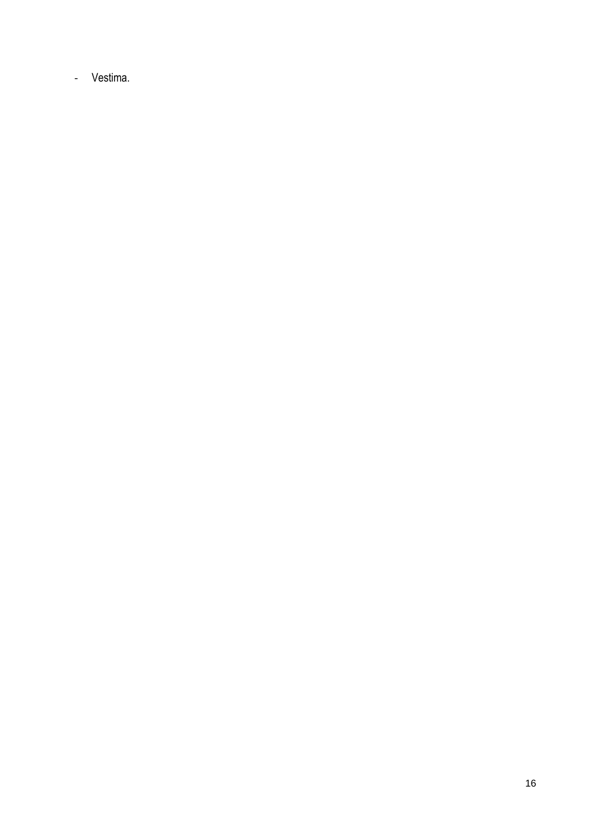- Vestima.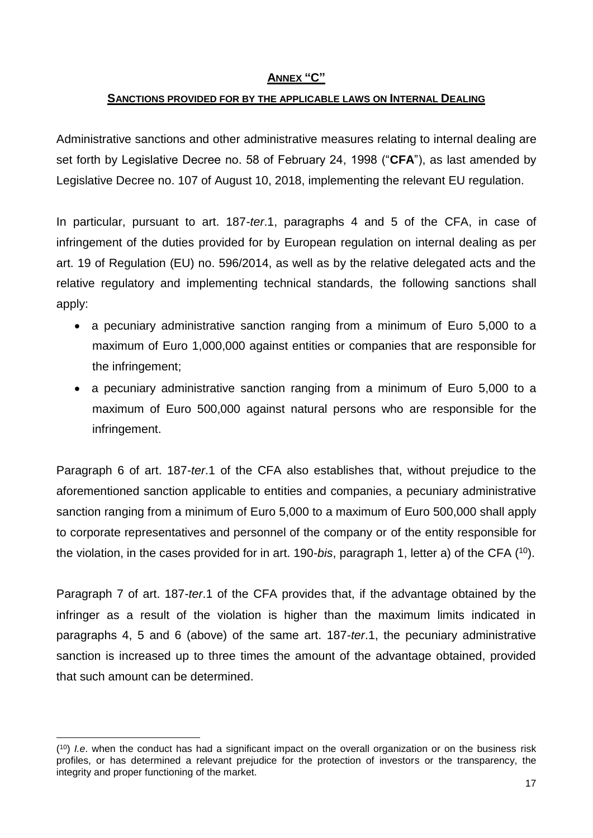#### **ANNEX "C"**

#### **SANCTIONS PROVIDED FOR BY THE APPLICABLE LAWS ON INTERNAL DEALING**

Administrative sanctions and other administrative measures relating to internal dealing are set forth by Legislative Decree no. 58 of February 24, 1998 ("**CFA**"), as last amended by Legislative Decree no. 107 of August 10, 2018, implementing the relevant EU regulation.

In particular, pursuant to art. 187-*ter*.1, paragraphs 4 and 5 of the CFA, in case of infringement of the duties provided for by European regulation on internal dealing as per art. 19 of Regulation (EU) no. 596/2014, as well as by the relative delegated acts and the relative regulatory and implementing technical standards, the following sanctions shall apply:

- a pecuniary administrative sanction ranging from a minimum of Euro 5,000 to a maximum of Euro 1,000,000 against entities or companies that are responsible for the infringement;
- a pecuniary administrative sanction ranging from a minimum of Euro 5,000 to a maximum of Euro 500,000 against natural persons who are responsible for the infringement.

Paragraph 6 of art. 187-*ter*.1 of the CFA also establishes that, without prejudice to the aforementioned sanction applicable to entities and companies, a pecuniary administrative sanction ranging from a minimum of Euro 5,000 to a maximum of Euro 500,000 shall apply to corporate representatives and personnel of the company or of the entity responsible for the violation, in the cases provided for in art. 190-*bis*, paragraph 1, letter a) of the CFA ( <sup>10</sup>).

Paragraph 7 of art. 187-*ter*.1 of the CFA provides that, if the advantage obtained by the infringer as a result of the violation is higher than the maximum limits indicated in paragraphs 4, 5 and 6 (above) of the same art. 187-*ter*.1, the pecuniary administrative sanction is increased up to three times the amount of the advantage obtained, provided that such amount can be determined.

<sup>1</sup> ( <sup>10</sup>) *I.e*. when the conduct has had a significant impact on the overall organization or on the business risk profiles, or has determined a relevant prejudice for the protection of investors or the transparency, the integrity and proper functioning of the market.